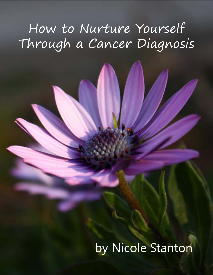# How to Nurture Yourself Through a Cancer Diagnosis

# by Nicole Stanton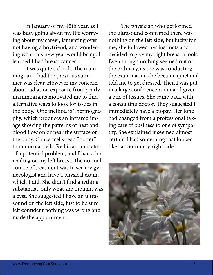In January of my 45th year, as I was busy going about my life worrying about my career, lamenting over not having a boyfriend, and wondering what this new year would bring, I learned I had breast cancer.

It was quite a shock. The mammogram I had the previous summer was clear. However my concern about radiation exposure from yearly mammograms motivated me to find alternative ways to look for issues in the body. One method is Thermography, which produces an infrared image showing the patterns of heat and blood flow on or near the surface of the body. Cancer cells read "hotter" than normal cells. Red is an indicator of a potential problem, and I had a hot reading on my left breast. The normal course of treatment was to see my gynecologist and have a physical exam, which I did. She didn't find anything substantial, only what she thought was a cyst. She suggested I have an ultrasound on the left side, just to be sure. I felt confident nothing was wrong and made the appointment.

The physician who performed the ultrasound confirmed there was nothing on the left side, but lucky for me, she followed her instincts and decided to give my right breast a look. Even though nothing seemed out of the ordinary, as she was conducting the examination she became quiet and told me to get dressed. Then I was put in a large conference room and given a box of tissues. She came back with a consulting doctor. They suggested I immediately have a biopsy. Her tone had changed from a professional taking care of business to one of sympathy. She explained it seemed almost certain I had something that looked like cancer on my right side.

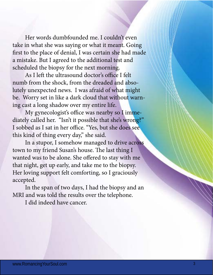Her words dumbfounded me. I couldn't even take in what she was saying or what it meant. Going first to the place of denial, I was certain she had made a mistake. But I agreed to the additional test and scheduled the biopsy for the next morning.

As I left the ultrasound doctor's office I felt numb from the shock, from the dreaded and absolutely unexpected news. I was afraid of what might be. Worry set in like a dark cloud that without warning cast a long shadow over my entire life.

My gynecologist's office was nearby so I immediately called her. "Isn't it possible that she's wrong?"  $\frac{1}{\pi}$  of thing every day" she said I sobbed as I sat in her office. "Yes, but she does see this kind of thing every day," she said.

 $\frac{1}{2}$  is  $\frac{1}{2}$  in a stupor I somehow managed t  $t$ own to my friend Susan's bouse. The la town to my more secure no ase: The rest thing  $\frac{1}{2}$  is the solution of the sheart in the state in the state in the ship state. does the thing see the carry, and take the to the stop  $\mathbf{D}$  sted. In a stupor, I somehow managed to drive across town to my friend Susan's house. The last thing I wanted was to be alone. She offered to stay with me that night, get up early, and take me to the biopsy. Her loving support felt comforting, so I graciously accepted.

In the span of two days, I had the biopsy and an MRI and was told the results over the telephone.

I did indeed have cancer.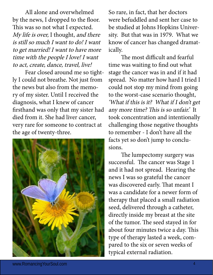All alone and overwhelmed by the news, I dropped to the floor. This was so not what I expected. My life is over, I thought, and there is still so much I want to do! I want to get married! I want to have more time with the people I love! I want to act, create, dance, travel, live!

Fear closed around me so tightly I could not breathe. Not just from the news but also from the memory of my sister. Until I received the diagnosis, what I knew of cancer firsthand was only that my sister had died from it. She had liver cancer, very rare for someone to contract at the age of twenty-three.



So rare, in fact, that her doctors were befuddled and sent her case to be studied at Johns Hopkins University. But that was in 1979. What we know of cancer has changed dramatically.

The most difficult and fearful time was waiting to find out what stage the cancer was in and if it had spread. No matter how hard I tried I could not stop my mind from going to the worst-case scenario thought, 'What if this is it? What if I don't get any more time? This is so unfair.' It took concentration and intentionally challenging those negative thoughts to remember - I don't have all the facts yet so don't jump to conclusions.

The lumpectomy surgery was successful. The cancer was Stage 1 and it had not spread. Hearing the news I was so grateful the cancer was discovered early. That meant I was a candidate for a newer form of therapy that placed a small radiation seed, delivered through a catheter, directly inside my breast at the site of the tumor. The seed stayed in for about four minutes twice a day. This type of therapy lasted a week, compared to the six or seven weeks of typical external radiation.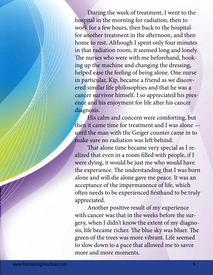During the week of treatment, I went to the hospital in the morning for radiation, then to work for a few hours, then back to the hospital for another treatment in the afternoon, and then home to rest. Although I spent only four minutes in that radiation room, it seemed long and lonely. The nurses who were with me beforehand, hooking up the machine and changing the dressing, helped ease the feeling of being alone. One nurse in particular, Kip, became a friend as we discovered similar life philosophies and that he was a cancer survivor himself. I so appreciated his presence and his enjoyment for life after his cancer diagnosis.

His calm and concern were comforting, but then it came time for treatment and I was alone until the man with the Geiger counter came in to make sure no radiation was left behind.

That alone time became very special as I realized that even in a room filled with people, if I were dying, it would be just me who would have the experience. The understanding that I was born alone and will die alone gave me peace. It was an acceptance of the impermanence of life, which often needs to be experienced firsthand to be truly appreciated.

Another positive result of my experience with cancer was that in the weeks before the surgery, when I didn't know the extent of my diagnosis, life became richer. The blue sky was bluer. The green of the trees was more vibrant. Life seemed to slow down to a pace that allowed me to savor more and more moments.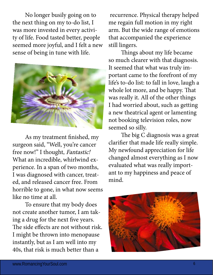No longer busily going on to the next thing on my to-do list, I was more invested in every activity of life. Food tasted better, people seemed more joyful, and I felt a new sense of being in tune with life.



As my treatment finished, my surgeon said, "Well, you're cancer free now!" I thought, Fantastic! What an incredible, whirlwind experience. In a span of two months, I was diagnosed with cancer, treated, and released cancer free. From horrible to gone, in what now seems like no time at all.

To ensure that my body does not create another tumor, I am taking a drug for the next five years. The side effects are not without risk. I might be thrown into menopause instantly, but as I am well into my 40s, that risk is much better than a

 recurrence. Physical therapy helped me regain full motion in my right arm. But the wide range of emotions that accompanied the experience still lingers.

Things about my life became so much clearer with that diagnosis. It seemed that what was truly important came to the forefront of my life's to-do list: to fall in love, laugh a whole lot more, and be happy. That was really it. All of the other things I had worried about, such as getting a new theatrical agent or lamenting not booking television roles, now seemed so silly.

The big C diagnosis was a great clarifier that made life really simple. My newfound appreciation for life changed almost everything as I now evaluated what was really important to my happiness and peace of mind.

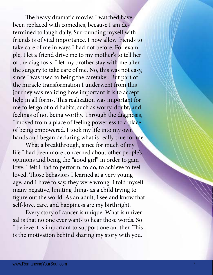The heavy dramatic movies I watched have been replaced with comedies, because I am determined to laugh daily. Surrounding myself with friends is of vital importance. I now allow friends to take care of me in ways I had not before. For example, I let a friend drive me to my mother's to tell her of the diagnosis. I let my brother stay with me after the surgery to take care of me. No, this was not easy, since I was used to being the caretaker. But part of the miracle transformation I underwent from this journey was realizing how important it is to accept help in all forms. This realization was important for me to let go of old habits, such as worry, doubt, and feelings of not being worthy. Through the diagnosis, I moved from a place of feeling powerless to a place of being empowered. I took my life into my own hands and began declaring what is really true for me.

What a breakthrough, since for much of my life I had been more concerned about other people's opinions and being the "good girl" in order to gain love. I felt I had to perform, to do, to achieve to feel loved. Those behaviors I learned at a very young age, and I have to say, they were wrong. I told myself many negative, limiting things as a child trying to figure out the world. As an adult, I see and know that self-love, care, and happiness are my birthright.

Every story of cancer is unique. What is universal is that no one ever wants to hear those words. So I believe it is important to support one another. This is the motivation behind sharing my story with you.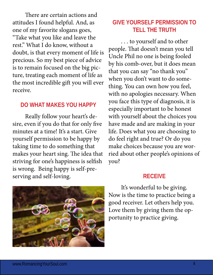There are certain actions and attitudes I found helpful. And, as one of my favorite slogans goes, "Take what you like and leave the rest." What I do know, without a doubt, is that every moment of life is precious. So my best piece of advice is to remain focused on the big picture, treating each moment of life as the most incredible gift you will ever receive.

#### **DO WHAT MAKES YOU HAPPY**

Really follow your heart's desire, even if you do that for only five minutes at a time! It's a start. Give yourself permission to be happy by taking time to do something that makes your heart sing. The idea that striving for one's happiness is selfish is wrong. Being happy is self-preserving and self-loving.

# **GIVE YOURSELF PERMISSION TO TELL THE TRUTH**

. . . to yourself and to other people. That doesn't mean you tell Uncle Phil no one is being fooled by his comb-over, but it does mean that you can say "no thank you" when you don't want to do something. You can own how you feel, with no apologies necessary. When you face this type of diagnosis, it is especially important to be honest with yourself about the choices you have made and are making in your life. Does what you are choosing to do feel right and true? Or do you make choices because you are worried about other people's opinions of you?

## **RECEIVE**

It's wonderful to be giving. Now is the time to practice being a good receiver. Let others help you. Love them by giving them the opportunity to practice giving.

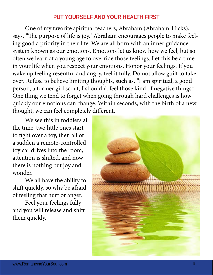### **PUT YOURSELF AND YOUR HEALTH FIRST**

One of my favorite spiritual teachers, Abraham (Abraham-Hicks), says, "The purpose of life is joy." Abraham encourages people to make feeling good a priority in their life. We are all born with an inner guidance system known as our emotions. Emotions let us know how we feel, but so often we learn at a young age to override those feelings. Let this be a time in your life when you respect your emotions. Honor your feelings. If you wake up feeling resentful and angry, feel it fully. Do not allow guilt to take over. Refuse to believe limiting thoughts, such as, "I am spiritual, a good person, a former girl scout, I shouldn't feel those kind of negative things." One thing we tend to forget when going through hard challenges is how quickly our emotions can change. Within seconds, with the birth of a new thought, we can feel completely different.

We see this in toddlers all the time: two little ones start to fight over a toy, then all of a sudden a remote-controlled toy car drives into the room, attention is shifted, and now there is nothing but joy and wonder.

We all have the ability to shift quickly, so why be afraid of feeling that hurt or anger.

Feel your feelings fully and you will release and shift them quickly.

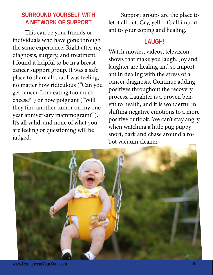# **SURROUND YOURSELF WITH A NETWORK OF SUPPORT**

This can be your friends or individuals who have gone through the same experience. Right after my diagnosis, surgery, and treatment, I found it helpful to be in a breast cancer support group. It was a safe place to share all that I was feeling, no matter how ridiculous ("Can you get cancer from eating too much cheese?") or how poignant ("Will they find another tumor on my oneyear anniversary mammogram?"). It's all valid, and none of what you are feeling or questioning will be judged.

Support groups are the place to let it all out. Cry, yell - it's all important to your coping and healing.

## **LAUGH!**

Watch movies, videos, television shows that make you laugh. Joy and laughter are healing and so important in dealing with the stress of a cancer diagnosis. Continue adding positives throughout the recovery process. Laughter is a proven benefit to health, and it is wonderful in shifting negative emotions to a more positive outlook. We can't stay angry when watching a little pug puppy snort, bark and chase around a robot vacuum cleaner.

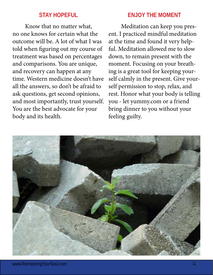#### **STAY HOPEFUL**

Know that no matter what, no one knows for certain what the outcome will be. A lot of what I was told when figuring out my course of treatment was based on percentages and comparisons. You are unique, and recovery can happen at any time. Western medicine doesn't have all the answers, so don't be afraid to ask questions, get second opinions, and most importantly, trust yourself. You are the best advocate for your body and its health.

## **ENJOY THE MOMENT**

Meditation can keep you present. I practiced mindful meditation at the time and found it very helpful. Meditation allowed me to slow down, to remain present with the moment. Focusing on your breathing is a great tool for keeping yourself calmly in the present. Give yourself permission to stop, relax, and rest. Honor what your body is telling you - let<yummy.com> or a friend bring dinner to you without your feeling guilty.

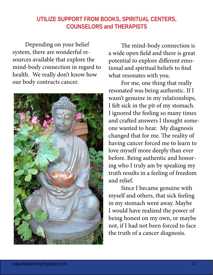# **UTILIZE SUPPORT FROM BOOKS, SPIRITUAL CENTERS, COUNSELORS and THERAPISTS**

Depending on your belief system, there are wonderful resources available that explore the mind-body connection in regard to health. We really don't know how our body contracts cancer.



The mind-body connection is a wide open field and there is great potential to explore different emotional and spiritual beliefs to find what resonates with you.

For me, one thing that really resonated was being authentic. If I wasn't genuine in my relationships, I felt sick in the pit of my stomach. I ignored the feeling so many times and crafted answers I thought someone wanted to hear. My diagnosis changed that for me. The reality of having cancer forced me to learn to love myself more deeply than ever before. Being authentic and honoring who I truly am by speaking my truth results in a feeling of freedom and relief.

Since I became genuine with myself and others, that sick feeling in my stomach went away. Maybe I would have realized the power of being honest on my own, or maybe not, if I had not been forced to face the truth of a cancer diagnosis.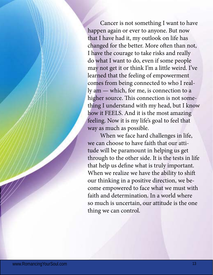Cancer is not something I want to have happen again or ever to anyone. But now that I have had it, my outlook on life has changed for the better. More often than not, I have the courage to take risks and really do what I want to do, even if some people may not get it or think I'm a little weird. I've learned that the feeling of empowerment comes from being connected to who I really am — which, for me, is connection to a higher source. This connection is not something I understand with my head, but I know how it FEELS. And it is the most amazing feeling. Now it is my life's goal to feel that way as much as possible.

When we face hard challenges in life, we can choose to have faith that our attitude will be paramount in helping us get through to the other side. It is the tests in life that help us define what is truly important. When we realize we have the ability to shift our thinking in a positive direction, we become empowered to face what we must with faith and determination. In a world where so much is uncertain, our attitude is the one thing we can control.